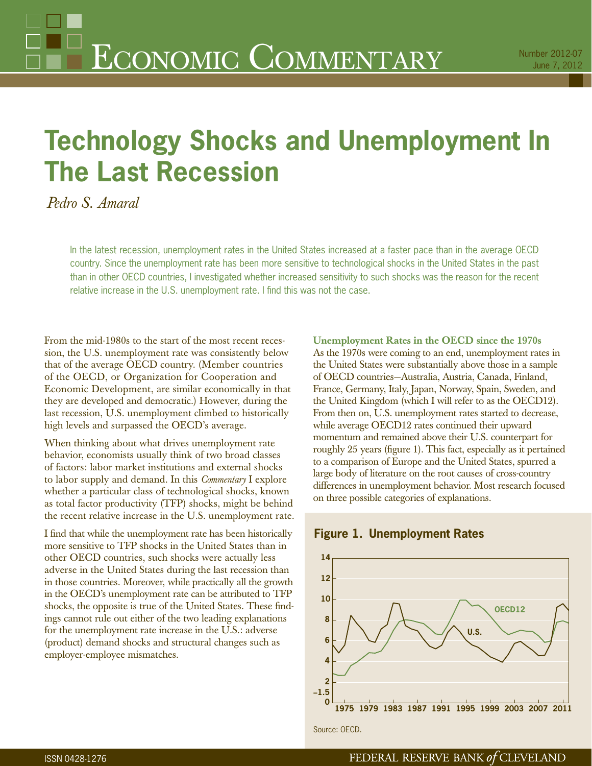# **Technology Shocks and Unemployment In The Last Recession**

*Pedro S. Amaral*

In the latest recession, unemployment rates in the United States increased at a faster pace than in the average OECD country. Since the unemployment rate has been more sensitive to technological shocks in the United States in the past than in other OECD countries, I investigated whether increased sensitivity to such shocks was the reason for the recent relative increase in the U.S. unemployment rate. I find this was not the case.

From the mid-1980s to the start of the most recent recession, the U.S. unemployment rate was consistently below that of the average OECD country. (Member countries of the OECD, or Organization for Cooperation and Economic Development, are similar economically in that they are developed and democratic.) However, during the last recession, U.S. unemployment climbed to historically high levels and surpassed the OECD's average.

When thinking about what drives unemployment rate behavior, economists usually think of two broad classes of factors: labor market institutions and external shocks to labor supply and demand. In this *Commentary* I explore whether a particular class of technological shocks, known as total factor productivity (TFP) shocks, might be behind the recent relative increase in the U.S. unemployment rate.

I find that while the unemployment rate has been historically more sensitive to TFP shocks in the United States than in other OECD countries, such shocks were actually less adverse in the United States during the last recession than in those countries. Moreover, while practically all the growth in the OECD's unemployment rate can be attributed to TFP shocks, the opposite is true of the United States. These findings cannot rule out either of the two leading explanations for the unemployment rate increase in the U.S.: adverse (product) demand shocks and structural changes such as employer-employee mismatches.

**Unemployment Rates in the OECD since the 1970s** As the 1970s were coming to an end, unemployment rates in the United States were substantially above those in a sample of OECD countries—Australia, Austria, Canada, Finland, France, Germany, Italy, Japan, Norway, Spain, Sweden, and the United Kingdom (which I will refer to as the OECD12). From then on, U.S. unemployment rates started to decrease, while average OECD12 rates continued their upward momentum and remained above their U.S. counterpart for roughly 25 years (figure 1). This fact, especially as it pertained to a comparison of Europe and the United States, spurred a large body of literature on the root causes of cross-country differences in unemployment behavior. Most research focused on three possible categories of explanations.





Source: OECD.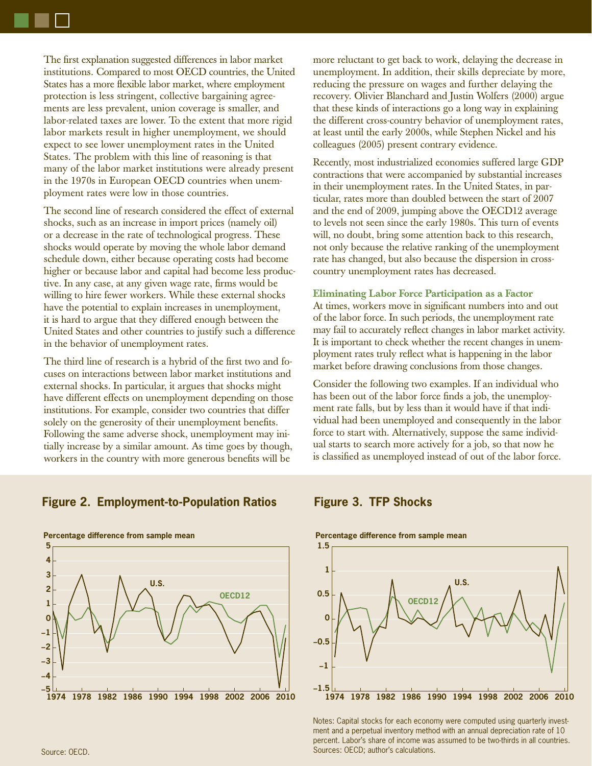The first explanation suggested differences in labor market institutions. Compared to most OECD countries, the United States has a more flexible labor market, where employment protection is less stringent, collective bargaining agreements are less prevalent, union coverage is smaller, and labor-related taxes are lower. To the extent that more rigid labor markets result in higher unemployment, we should expect to see lower unemployment rates in the United States. The problem with this line of reasoning is that many of the labor market institutions were already present in the 1970s in European OECD countries when unemployment rates were low in those countries.

The second line of research considered the effect of external shocks, such as an increase in import prices (namely oil) or a decrease in the rate of technological progress. These shocks would operate by moving the whole labor demand schedule down, either because operating costs had become higher or because labor and capital had become less productive. In any case, at any given wage rate, firms would be willing to hire fewer workers. While these external shocks have the potential to explain increases in unemployment, it is hard to argue that they differed enough between the United States and other countries to justify such a difference in the behavior of unemployment rates.

The third line of research is a hybrid of the first two and focuses on interactions between labor market institutions and external shocks. In particular, it argues that shocks might have different effects on unemployment depending on those institutions. For example, consider two countries that differ solely on the generosity of their unemployment benefits. Following the same adverse shock, unemployment may initially increase by a similar amount. As time goes by though, workers in the country with more generous benefits will be

more reluctant to get back to work, delaying the decrease in unemployment. In addition, their skills depreciate by more, reducing the pressure on wages and further delaying the recovery. Olivier Blanchard and Justin Wolfers (2000) argue that these kinds of interactions go a long way in explaining the different cross-country behavior of unemployment rates, at least until the early 2000s, while Stephen Nickel and his colleagues (2005) present contrary evidence.

Recently, most industrialized economies suffered large GDP contractions that were accompanied by substantial increases in their unemployment rates. In the United States, in particular, rates more than doubled between the start of 2007 and the end of 2009, jumping above the OECD12 average to levels not seen since the early 1980s. This turn of events will, no doubt, bring some attention back to this research, not only because the relative ranking of the unemployment rate has changed, but also because the dispersion in crosscountry unemployment rates has decreased.

# **Eliminating Labor Force Participation as a Factor**

At times, workers move in significant numbers into and out of the labor force. In such periods, the unemployment rate may fail to accurately reflect changes in labor market activity. It is important to check whether the recent changes in unemployment rates truly reflect what is happening in the labor market before drawing conclusions from those changes.

Consider the following two examples. If an individual who has been out of the labor force finds a job, the unemployment rate falls, but by less than it would have if that individual had been unemployed and consequently in the labor force to start with. Alternatively, suppose the same individual starts to search more actively for a job, so that now he is classified as unemployed instead of out of the labor force.

# **Figure 2. Employment-to-Population Ratios Figure 3. TFP Shocks**



### **Percentage difference from sample mean**



Notes: Capital stocks for each economy were computed using quarterly investment and a perpetual inventory method with an annual depreciation rate of 10 percent. Labor's share of income was assumed to be two-thirds in all countries. Sources: OECD; author's calculations.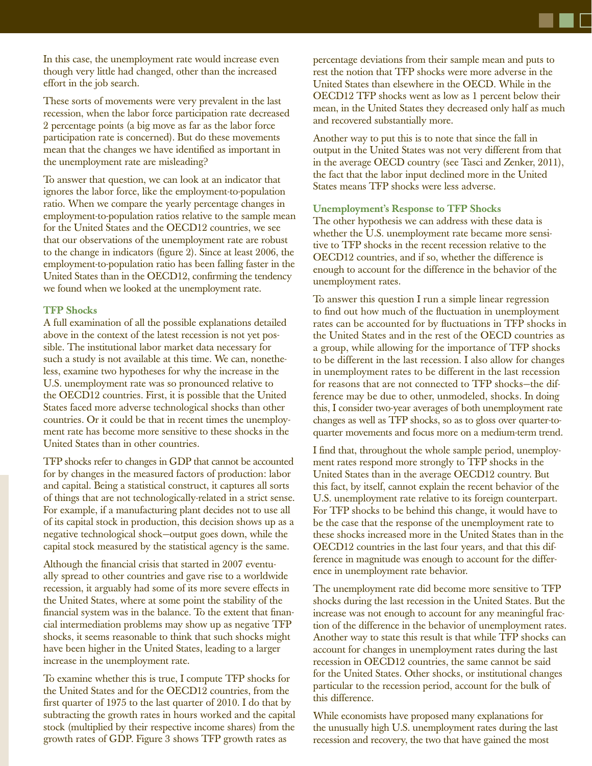In this case, the unemployment rate would increase even though very little had changed, other than the increased effort in the job search.

These sorts of movements were very prevalent in the last recession, when the labor force participation rate decreased 2 percentage points (a big move as far as the labor force participation rate is concerned). But do these movements mean that the changes we have identified as important in the unemployment rate are misleading?

To answer that question, we can look at an indicator that ignores the labor force, like the employment-to-population ratio. When we compare the yearly percentage changes in employment-to-population ratios relative to the sample mean for the United States and the OECD12 countries, we see that our observations of the unemployment rate are robust to the change in indicators (figure 2). Since at least 2006, the employment-to-population ratio has been falling faster in the United States than in the OECD12, confirming the tendency we found when we looked at the unemployment rate.

# **TFP Shocks**

A full examination of all the possible explanations detailed above in the context of the latest recession is not yet possible. The institutional labor market data necessary for such a study is not available at this time. We can, nonetheless, examine two hypotheses for why the increase in the U.S. unemployment rate was so pronounced relative to the OECD12 countries. First, it is possible that the United States faced more adverse technological shocks than other countries. Or it could be that in recent times the unemployment rate has become more sensitive to these shocks in the United States than in other countries.

TFP shocks refer to changes in GDP that cannot be accounted for by changes in the measured factors of production: labor and capital. Being a statistical construct, it captures all sorts of things that are not technologically-related in a strict sense. For example, if a manufacturing plant decides not to use all of its capital stock in production, this decision shows up as a negative technological shock—output goes down, while the capital stock measured by the statistical agency is the same.

Although the financial crisis that started in 2007 eventually spread to other countries and gave rise to a worldwide recession, it arguably had some of its more severe effects in the United States, where at some point the stability of the financial system was in the balance. To the extent that financial intermediation problems may show up as negative TFP shocks, it seems reasonable to think that such shocks might have been higher in the United States, leading to a larger increase in the unemployment rate.

To examine whether this is true, I compute TFP shocks for the United States and for the OECD12 countries, from the first quarter of  $1975$  to the last quarter of  $2010$ . I do that by subtracting the growth rates in hours worked and the capital stock (multiplied by their respective income shares) from the growth rates of GDP. Figure 3 shows TFP growth rates as

percentage deviations from their sample mean and puts to rest the notion that TFP shocks were more adverse in the United States than elsewhere in the OECD. While in the OECD12 TFP shocks went as low as 1 percent below their mean, in the United States they decreased only half as much and recovered substantially more.

Another way to put this is to note that since the fall in output in the United States was not very different from that in the average OECD country (see Tasci and Zenker, 2011), the fact that the labor input declined more in the United States means TFP shocks were less adverse.

## **Unemployment's Response to TFP Shocks**

The other hypothesis we can address with these data is whether the U.S. unemployment rate became more sensitive to TFP shocks in the recent recession relative to the OECD12 countries, and if so, whether the difference is enough to account for the difference in the behavior of the unemployment rates.

To answer this question I run a simple linear regression to find out how much of the fluctuation in unemployment rates can be accounted for by fluctuations in TFP shocks in the United States and in the rest of the OECD countries as a group, while allowing for the importance of TFP shocks to be different in the last recession. I also allow for changes in unemployment rates to be different in the last recession for reasons that are not connected to TFP shocks—the difference may be due to other, unmodeled, shocks. In doing this, I consider two-year averages of both unemployment rate changes as well as TFP shocks, so as to gloss over quarter-toquarter movements and focus more on a medium-term trend.

I find that, throughout the whole sample period, unemployment rates respond more strongly to TFP shocks in the United States than in the average OECD12 country. But this fact, by itself, cannot explain the recent behavior of the U.S. unemployment rate relative to its foreign counterpart. For TFP shocks to be behind this change, it would have to be the case that the response of the unemployment rate to these shocks increased more in the United States than in the OECD12 countries in the last four years, and that this difference in magnitude was enough to account for the difference in unemployment rate behavior.

The unemployment rate did become more sensitive to TFP shocks during the last recession in the United States. But the increase was not enough to account for any meaningful fraction of the difference in the behavior of unemployment rates. Another way to state this result is that while TFP shocks can account for changes in unemployment rates during the last recession in OECD12 countries, the same cannot be said for the United States. Other shocks, or institutional changes particular to the recession period, account for the bulk of this difference.

While economists have proposed many explanations for the unusually high U.S. unemployment rates during the last recession and recovery, the two that have gained the most